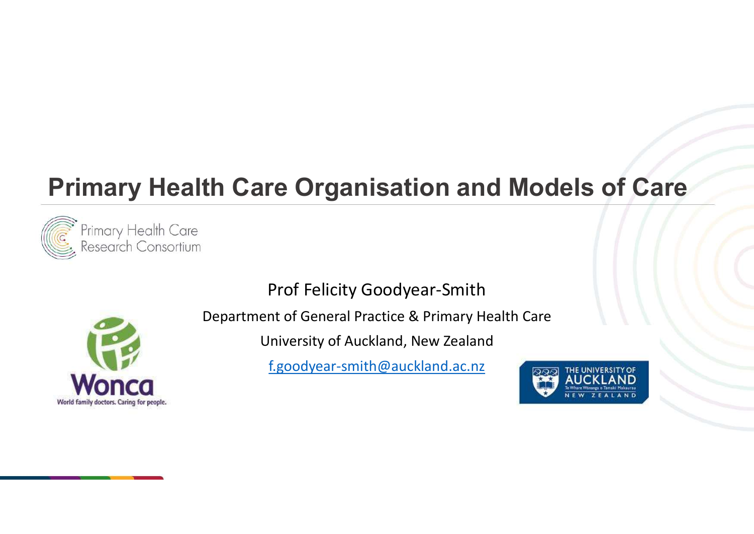# Primary Health Care Organisation and Models of Care



Prof Felicity Goodyear-Smith



Department of General Practice & Primary Health Care

University of Auckland, New Zealand

f.goodyear-smith@auckland.ac.nz

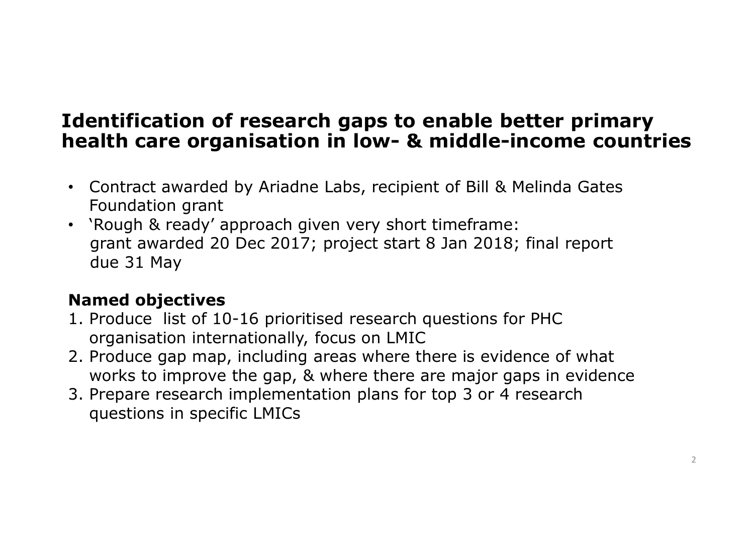### Identification of research gaps to enable better primary **Identification of research gaps to enable better primary<br>health care organisation in low- & middle-income countries<br>• Contract awarded by Ariadne Labs, recipient of Bill & Melinda Gates**

- Contract awarded by Ariadne Labs, recipient of Bill & Melinda Gates Foundation grant
- 'Rough & ready' approach given very short timeframe: grant awarded 20 Dec 2017; project start 8 Jan 2018; final report due 31 May **Example 10:**<br> **Identification of research gaps to enable better primary**<br> **Identificate organisation in low- & middle-income countri**<br> **Contract awarded by Ariadne Labs, recipient of Bill & Melinda Gates<br>
Foundation grant CONTROLLER SERVIDE THE MANGE CONTROLLER SERVIDE SERVIDE SCALE SERVIDE SCALE SERVIDE SCALE SURVEY SURVEY SURVEY SCALE SURVEY APPORATION SCALE STATE of What are of what are foundation grant<br>
Produce 31 May<br>
Named objectives** • Contract awarded by Ariadne Labs, recipient of Bill & Melinda Gates<br>
Foundation grant<br>
• `Rough & ready' approach given very short timeframe:<br>
grant awarded 20 Dec 2017; project start 8 Jan 2018; final report<br>
due 31 May

### Named objectives

- organisation internationally, focus on LMIC
- works to improve the gap, & where there are major gaps in evidence
- questions in specific LMICs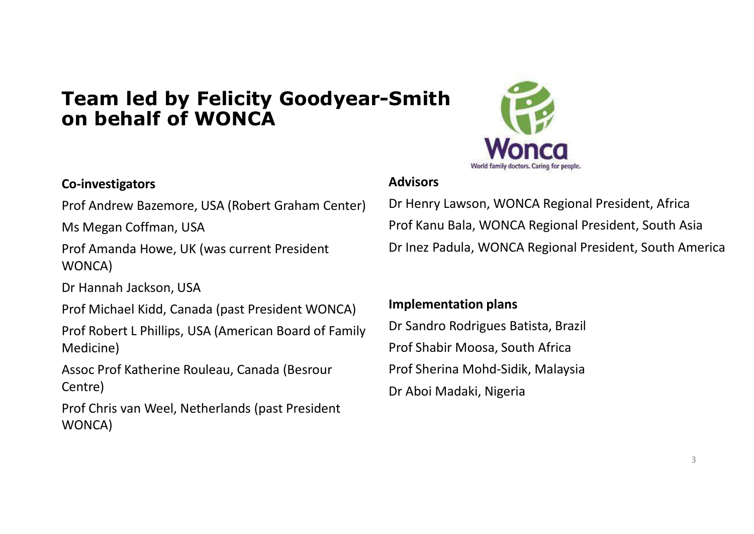### Team led by Felicity Goodyear-Smith on behalf of WONCA

### Co-investigators

Prof Andrew Bazemore, USA (Robert Graham Center)

Ms Megan Coffman, USA

Prof Amanda Howe, UK (was current President WONCA)

Dr Hannah Jackson, USA

Prof Michael Kidd, Canada (past President WONCA)

Prof Robert L Phillips, USA (American Board of Family Medicine)

Assoc Prof Katherine Rouleau, Canada (Besrour Centre)

Prof Chris van Weel, Netherlands (past President WONCA)



### **Advisors**

Dr Henry Lawson, WONCA Regional President, Africa **Smith**<br>
Wonca<br>
Advisors<br>
Dr Henry Lawson, WONCA Regional President, Africa<br>
Prof Kanu Bala, WONCA Regional President, South Asia<br>
Dr Inez Padula, WONCA Regional President, South America Dr Inez Padula, WONCA Regional President, South America **MONCO**<br>
World family doctors. Caring for people.<br>
Dr Henry Lawson, WONCA Regional President, Africa<br>
Prof Kanu Bala, WONCA Regional President, South Asia<br>
Dr Inez Padula, WONCA Regional President, South America<br> **Implemen Advisors**<br>
World family doctors. Caring for people.<br>
Dr Henry Lawson, WONCA Regional President, Africa<br>
Prof Kanu Bala, WONCA Regional President, South Asia<br>
Dr Inez Padula, WONCA Regional President, South America<br> **Imple** Advisors<br>
Dr Henry Lawson, WONCA Regional President, Africa<br>
Prof Kanu Bala, WONCA Regional President, South Asia<br>
Dr Inez Padula, WONCA Regional President, South America<br> **Implementation plans**<br>
Dr Sandro Rodrigues Batist

### Implementation plans

Dr Sandro Rodrigues Batista, Brazil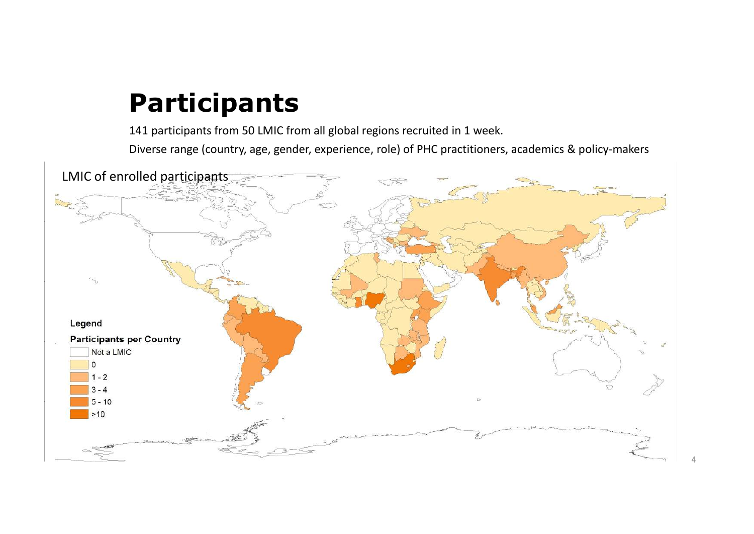### Participants

141 participants from 50 LMIC from all global regions recruited in 1 week.

Diverse range (country, age, gender, experience, role) of PHC practitioners, academics & policy-makers

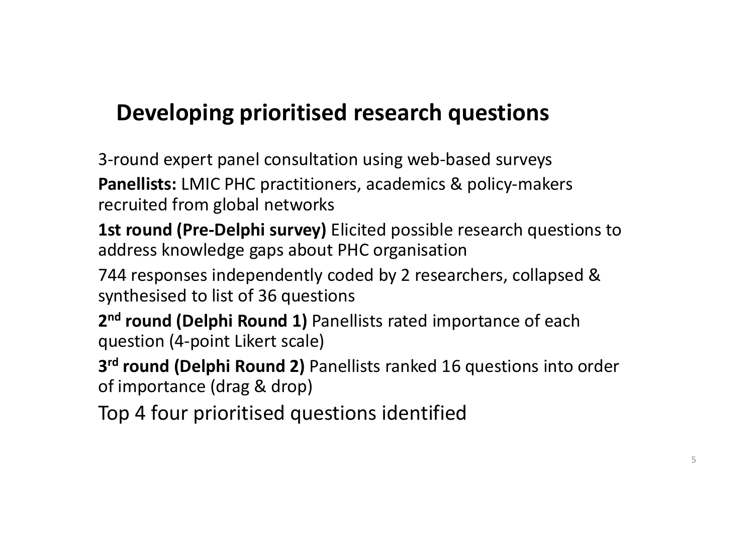### Developing prioritised research questions

3-round expert panel consultation using web-based surveys Panellists: LMIC PHC practitioners, academics & policy-makers recruited from global networks **Developing prioritised research questions**<br>
3-round expert panel consultation using web-based surveys<br> **Panellists:** LMIC PHC practitioners, academics & policy-makers<br>
recruited from global networks<br> **1st round (Pre-Delph** 

address knowledge gaps about PHC organisation

744 responses independently coded by 2 researchers, collapsed & synthesised to list of 36 questions

2<sup>nd</sup> round (Delphi Round 1) Panellists rated importance of each question (4-point Likert scale)

3<sup>rd</sup> round (Delphi Round 2) Panellists ranked 16 questions into order of importance (drag & drop)

Top 4 four prioritised questions identified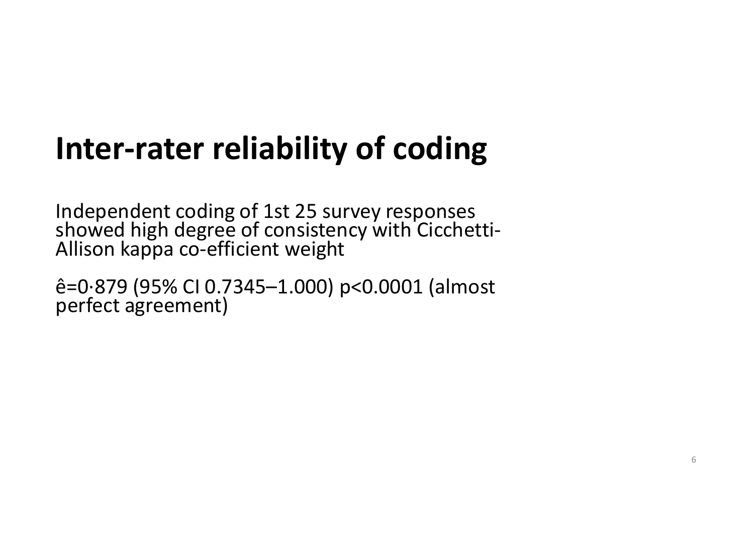# **Inter-rater reliability of coding**<br>Independent coding of 1st 25 survey responses

Independent coding of 1st 25 survey responses showed high degree of consistency with Cicchetti- Allison kappa co-efficient weight

ê=0·879 (95% CI 0.7345–1.000) p<0.0001 (almost perfect agreement)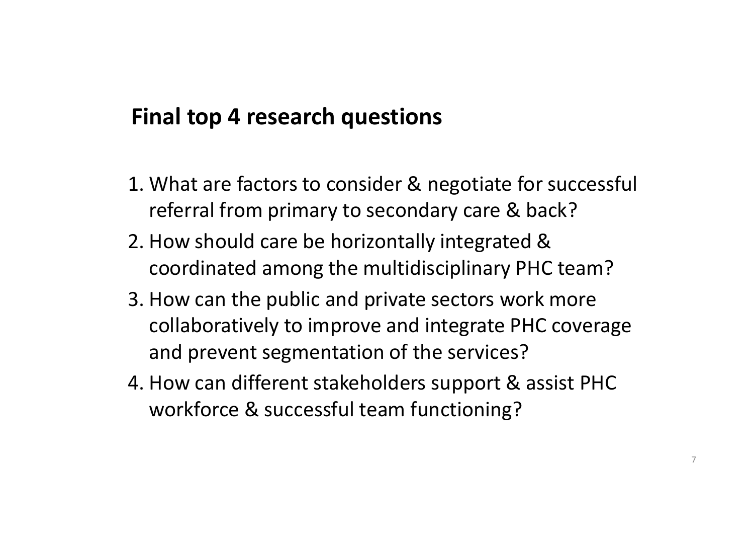### Final top 4 research questions

- Final top 4 research questions<br>1. What are factors to consider & negotiate for successful<br>referral from primary to secondary care & back?<br>2. How should care be horizontally integrated & referral from primary to secondary care & back?
- **Final top 4 research questions<br>
2. What are factors to consider & negotiate for success<br>
1. What are factors to consider & negotiate for success<br>
1. How should care be horizontally integrated &<br>
2. How should care be hori** coordinated among the multidisciplinary PHC team?
- **5. Final top 4 research questions**<br>
1. What are factors to consider & negotiate for successful<br>
referral from primary to secondary care & back?<br>
2. How should care be horizontally integrated &<br>
coordinated among the multi collaboratively to improve and integrate PHC coverage and prevent segmentation of the services? 1. What are factors to consider & negotiate for successful<br>referral from primary to secondary care & back?<br>2. How should care be horizontally integrated &<br>coordinated among the multidisciplinary PHC team?<br>3. How can the pu
- workforce & successful team functioning?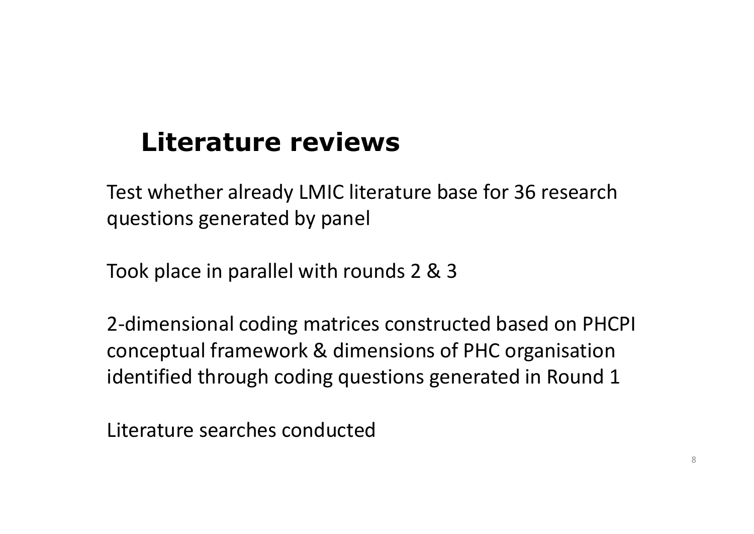### Literature reviews

Test whether already LMIC literature base for 36 research questions generated by panel

Took place in parallel with rounds 2 & 3

2-dimensional coding matrices constructed based on PHCPI conceptual framework & dimensions of PHC organisation identified through coding questions generated in Round 1

Literature searches conducted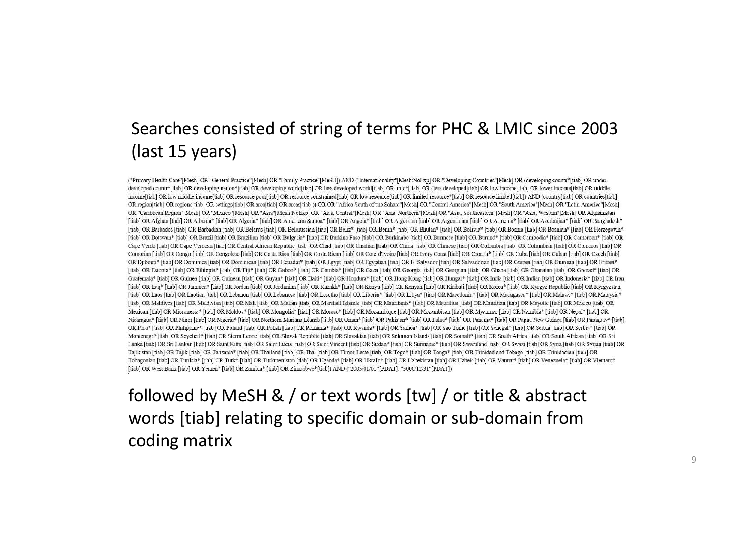### Searches consisted of string of terms for PHC & LMIC since 2003 (last 15 years)

Final Car Point Car (1981) (We consider the Use of Krassing word in the Car Car (1981) (We consider the Use of Car (1981) (We consider the Use of Car (1981) (We consider the USE) (We consider the USE) (We consider the USE

### words [tiab] relating to specific domain or sub-domain from coding matrix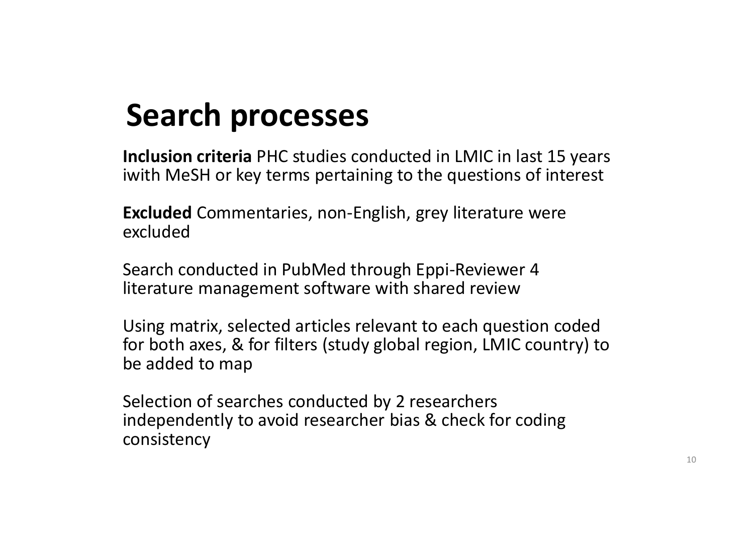### Search processes

Inclusion criteria PHC studies conducted in LMIC in last 15 years **Search processes**<br>Inclusion criteria PHC studies conducted in LMIC in last 15 years<br>iwith MeSH or key terms pertaining to the questions of interest<br>Excluded Commentaries, non-English, grey literature were<br>excluded

Excluded Commentaries, non-English, grey literature were excluded

Search conducted in PubMed through Eppi-Reviewer 4 literature management software with shared review

Using matrix, selected articles relevant to each question coded for both axes, & for filters (study global region, LMIC country) to be added to map

Selection of searches conducted by 2 researchers independently to avoid researcher bias & check for coding consistency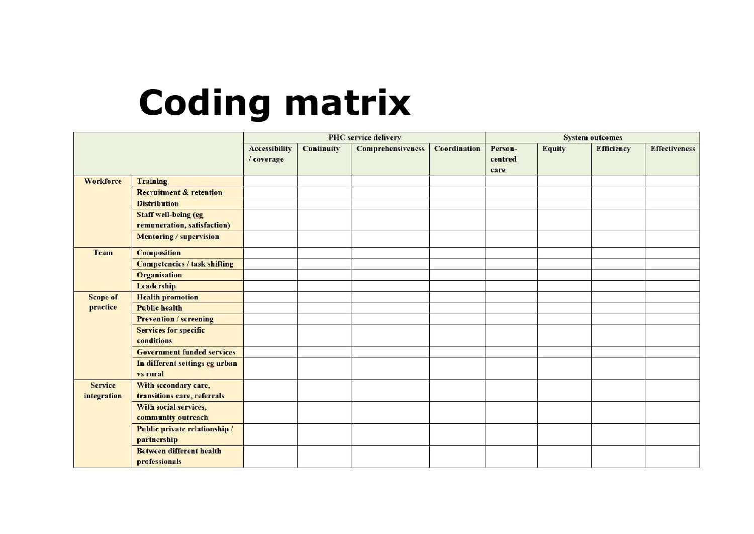### Coding matrix

|                               |                                                             | <b>PHC</b> service delivery        |                   |                          |                     | <b>System outcomes</b>     |               |                   |                      |
|-------------------------------|-------------------------------------------------------------|------------------------------------|-------------------|--------------------------|---------------------|----------------------------|---------------|-------------------|----------------------|
|                               |                                                             | <b>Accessibility</b><br>/ coverage | <b>Continuity</b> | <b>Comprehensiveness</b> | <b>Coordination</b> | Person-<br>centred<br>care | <b>Equity</b> | <b>Efficiency</b> | <b>Effectiveness</b> |
| Workforce                     | Training                                                    |                                    |                   |                          |                     |                            |               |                   |                      |
|                               | <b>Recruitment &amp; retention</b>                          |                                    |                   |                          |                     |                            |               |                   |                      |
|                               | <b>Distribution</b>                                         |                                    |                   |                          |                     |                            |               |                   |                      |
|                               | <b>Staff well-being (eg)</b><br>remuneration, satisfaction) |                                    |                   |                          |                     |                            |               |                   |                      |
|                               | <b>Mentoring / supervision</b>                              |                                    |                   |                          |                     |                            |               |                   |                      |
| Team                          | <b>Composition</b>                                          |                                    |                   |                          |                     |                            |               |                   |                      |
|                               | <b>Competencies / task shifting</b>                         |                                    |                   |                          |                     |                            |               |                   |                      |
|                               | <b>Organisation</b>                                         |                                    |                   |                          |                     |                            |               |                   |                      |
|                               | Leadership                                                  |                                    |                   |                          |                     |                            |               |                   |                      |
| <b>Scope of</b>               | <b>Health promotion</b>                                     |                                    |                   |                          |                     |                            |               |                   |                      |
| practice                      | <b>Public health</b>                                        |                                    |                   |                          |                     |                            |               |                   |                      |
|                               | <b>Prevention / screening</b>                               |                                    |                   |                          |                     |                            |               |                   |                      |
|                               | <b>Services for specific</b><br>conditions                  |                                    |                   |                          |                     |                            |               |                   |                      |
|                               | <b>Government funded services</b>                           |                                    |                   |                          |                     |                            |               |                   |                      |
|                               | In different settings eg urban<br>vs rural                  |                                    |                   |                          |                     |                            |               |                   |                      |
| <b>Service</b><br>integration | With secondary care,<br>transitions care, referrals         |                                    |                   |                          |                     |                            |               |                   |                      |
|                               | With social services,<br>community outreach                 |                                    |                   |                          |                     |                            |               |                   |                      |
|                               | Public private relationship /<br>partnership                |                                    |                   |                          |                     |                            |               |                   |                      |
|                               | <b>Between different health</b><br>professionals            |                                    |                   |                          |                     |                            |               |                   |                      |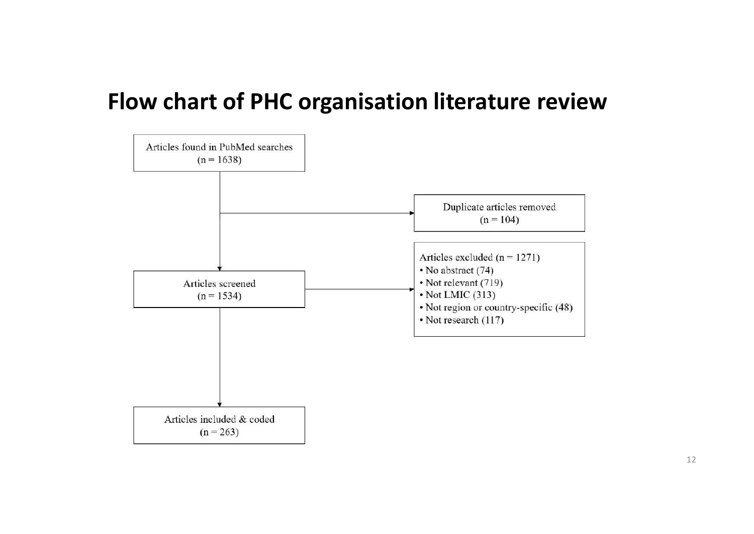### Flow chart of PHC organisation literature review

![](_page_11_Figure_1.jpeg)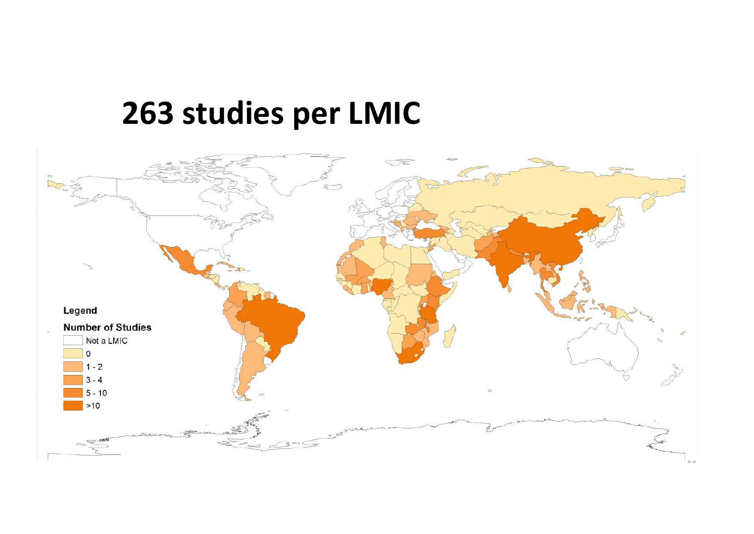### 263 studies per LMIC

![](_page_12_Figure_1.jpeg)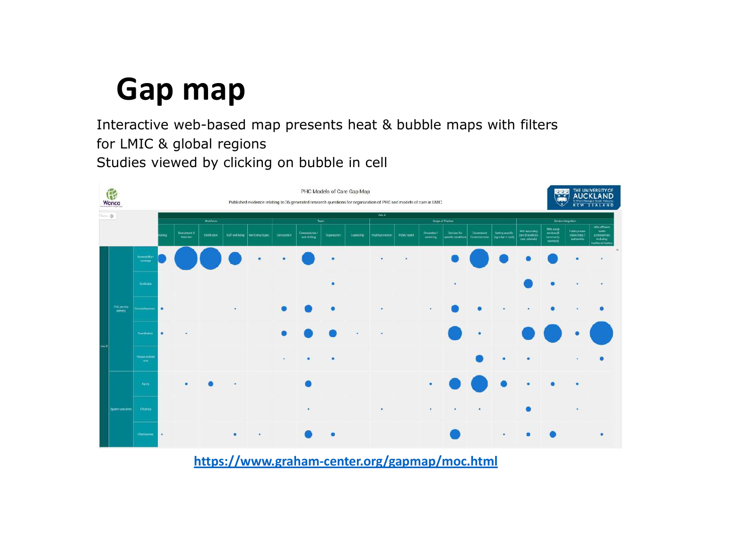### Gap map

Interactive web-based map presents heat & bubble maps with filters for LMIC & global regions Studies viewed by clicking on bubble in cell

![](_page_13_Figure_2.jpeg)

https://www.graham-center.org/gapmap/moc.html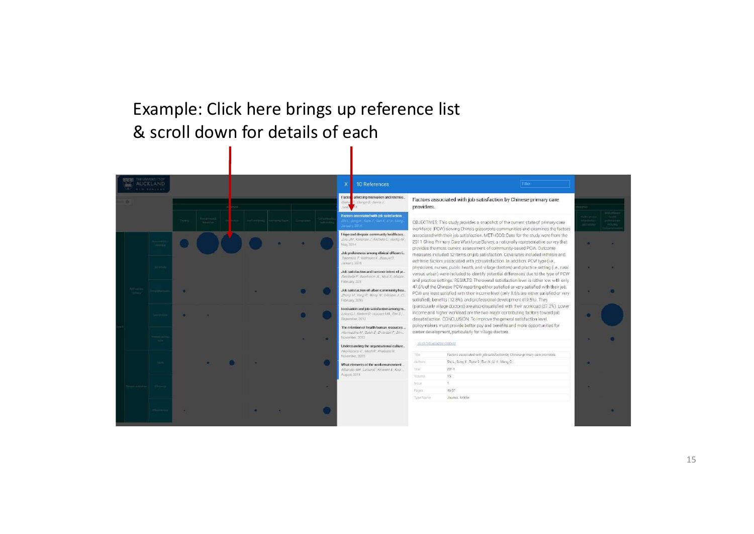### Example: Click here brings up reference list & scroll down for details of each

![](_page_14_Figure_1.jpeg)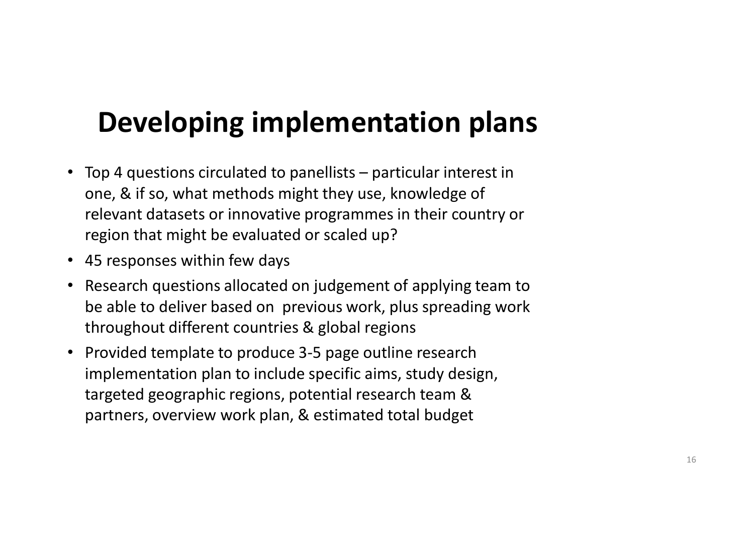### Developing implementation plans

- **Developing implementation plans**<br>• Top 4 questions circulated to panellists particular interest in<br>one, & if so, what methods might they use, knowledge of<br>relevant datasets or innovative programmes in their country or<br>r one, & if so, what methods might they use, knowledge of relevant datasets or innovative programmes in their country or region that might be evaluated or scaled up?
- 45 responses within few days
- Research questions allocated on judgement of applying team to be able to deliver based on previous work, plus spreading work throughout different countries & global regions
- Provided template to produce 3-5 page outline research implementation plan to include specific aims, study design, targeted geographic regions, potential research team & partners, overview work plan, & estimated total budget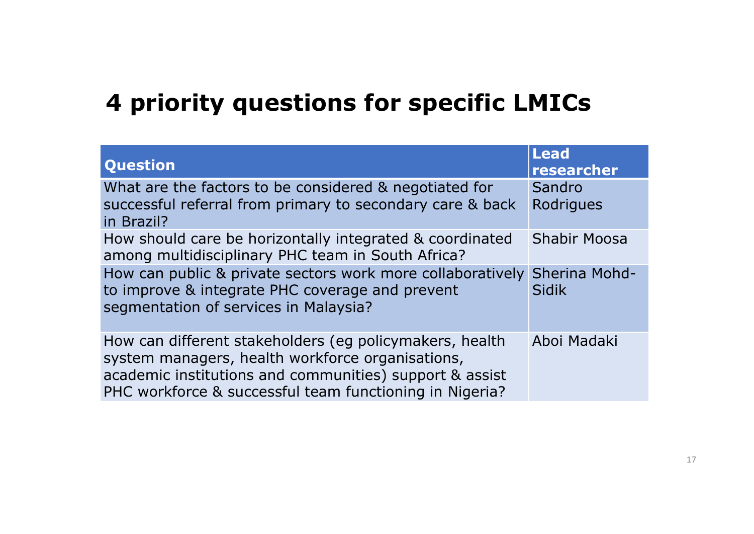### 4 priority questions for specific LMICs

| 4 priority questions for specific LMICs                                                                                                                                                                                           |                           |  |  |  |  |
|-----------------------------------------------------------------------------------------------------------------------------------------------------------------------------------------------------------------------------------|---------------------------|--|--|--|--|
| <b>Question</b>                                                                                                                                                                                                                   | <b>Lead</b><br>researcher |  |  |  |  |
| What are the factors to be considered & negotiated for<br>successful referral from primary to secondary care & back<br>in Brazil?                                                                                                 | Sandro<br>Rodrigues       |  |  |  |  |
| How should care be horizontally integrated & coordinated<br>among multidisciplinary PHC team in South Africa?                                                                                                                     | <b>Shabir Moosa</b>       |  |  |  |  |
| How can public & private sectors work more collaboratively Sherina Mohd-<br>to improve & integrate PHC coverage and prevent<br>segmentation of services in Malaysia?                                                              | Sidik                     |  |  |  |  |
| How can different stakeholders (eg policymakers, health<br>system managers, health workforce organisations,<br>academic institutions and communities) support & assist<br>PHC workforce & successful team functioning in Nigeria? | Aboi Madaki               |  |  |  |  |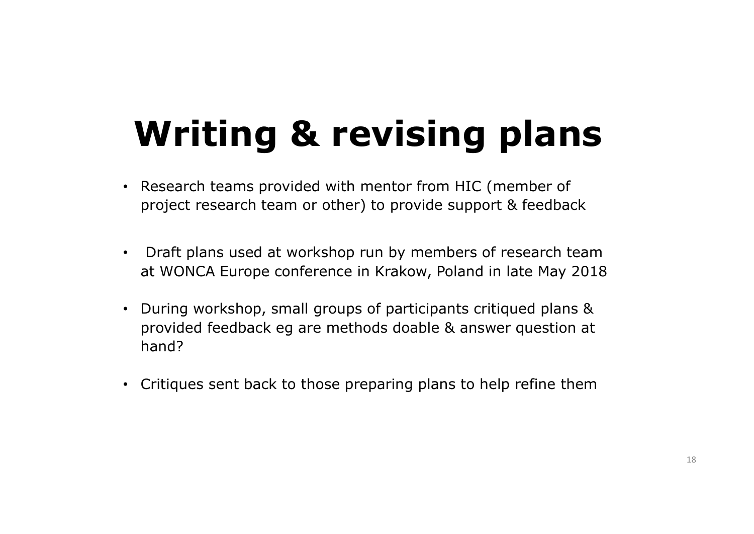### Writing & revising plans

- Research teams provided with mentor from HIC (member of project research team or other) to provide support & feedback
- Draft plans used at workshop run by members of research team at WONCA Europe conference in Krakow, Poland in late May 2018
- During workshop, small groups of participants critiqued plans & Writing & revising plans<br>Research teams provided with mentor from HIC (member of<br>project research team or other) to provide support & feedback<br>Draft plans used at workshop run by members of research team<br>at WONCA Europe co hand?
- Critiques sent back to those preparing plans to help refine them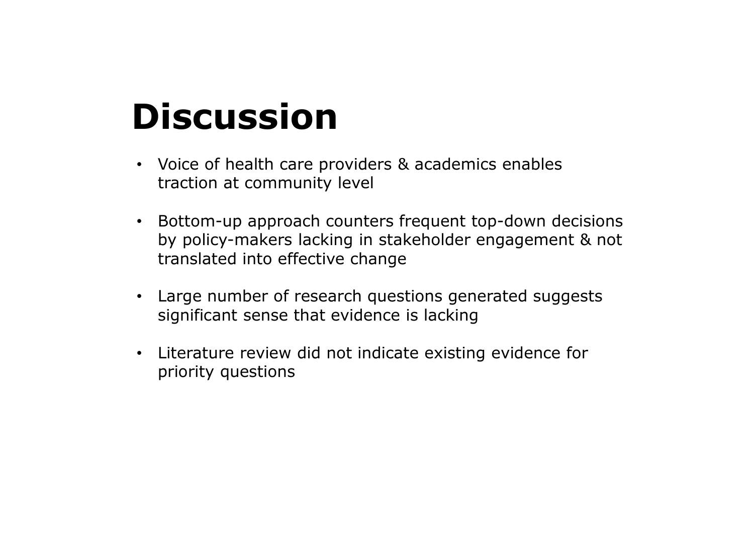### Discussion

- Voice of health care providers & academics enables traction at community level
- Bottom-up approach counters frequent top-down decisions by policy-makers lacking in stakeholder engagement & not translated into effective change
- Large number of research questions generated suggests significant sense that evidence is lacking
- Literature review did not indicate existing evidence for priority questions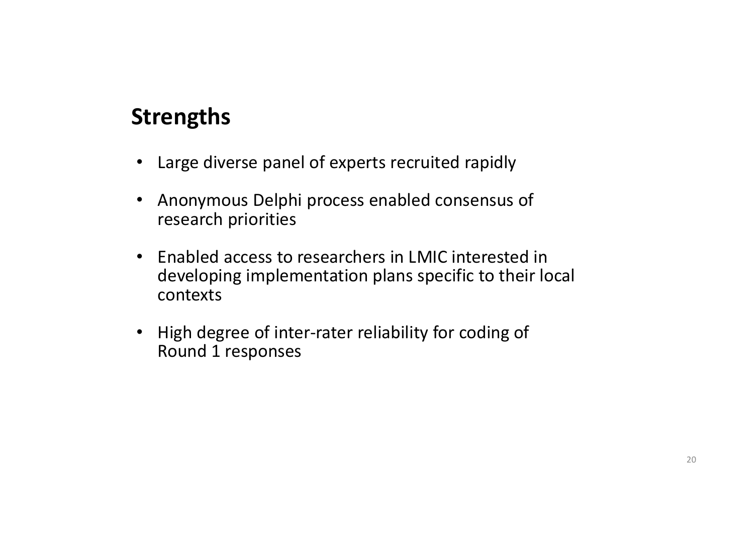### Strengths

- Large diverse panel of experts recruited rapidly
- Anonymous Delphi process enabled consensus of research priorities
- Enabled access to researchers in LMIC interested in developing implementation plans specific to their local contexts Friending Contract Strengths<br>• Large diverse panel of experts recruited rapidly<br>• Anonymous Delphi process enabled consensus of<br>research priorities<br>• Enabled access to researchers in LMIC interested in<br>developing implement
- Round 1 responses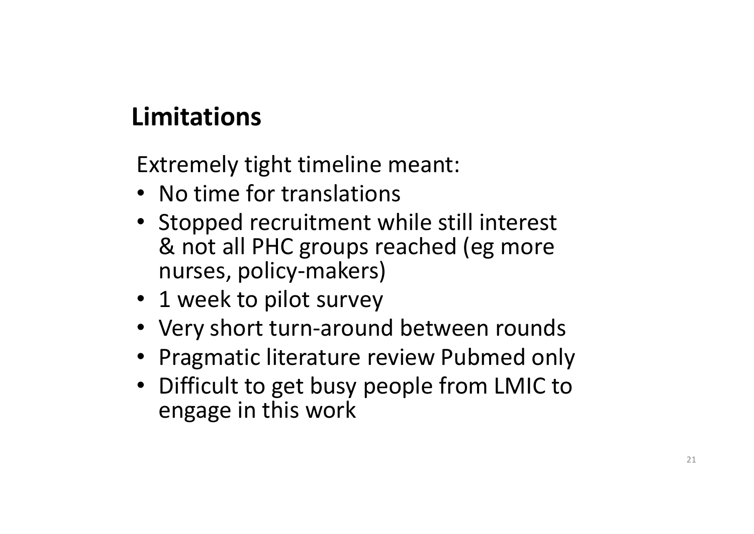### Limitations

Extremely tight timeline meant:

- No time for translations
- Stopped recruitment while still interest & not all PHC groups reached (eg more nurses, policy-makers) Extremely tight timeline meant:<br>• No time for translations<br>• Stopped recruitment while still interest<br>& not all PHC groups reached (eg more<br>nurses, policy-makers)<br>• 1 week to pilot survey<br>• Very short turn-around between r
- 1 week to pilot survey
- Very short turn-around between rounds
- 
- Difficult to get busy people from LMIC to engage in this work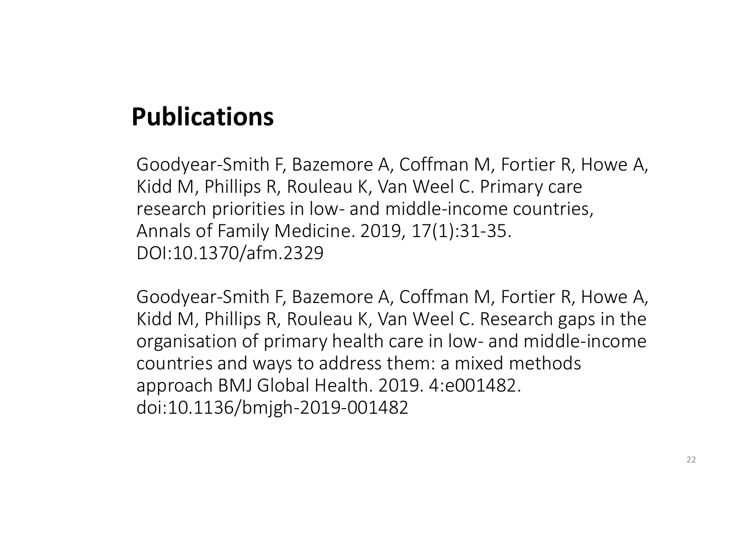### Publications

Goodyear-Smith F, Bazemore A, Coffman M, Fortier R, Howe A, Kidd M, Phillips R, Rouleau K, Van Weel C. Primary care **Publications**<br>Goodyear-Smith F, Bazemore A, Coffman M, Fortier R, Howe A,<br>Kidd M, Phillips R, Rouleau K, Van Weel C. Primary care<br>research priorities in low- and middle-income countries,<br>Annals of Family Medicine. 2019, 1 Annals of Family Medicine. 2019, 17(1):31-35. DOI:10.1370/afm.2329

Goodyear-Smith F, Bazemore A, Coffman M, Fortier R, Howe A, Kidd M, Phillips R, Rouleau K, Van Weel C. Research gaps in the **Goodyear-Smith F, Bazemore A, Coffman M, Fortier R, Howe A, Kidd M, Phillips R, Rouleau K, Van Weel C. Primary care research priorities in low- and middle-income countries, Annals of Family Medicine. 2019, 17(1):31-35.<br>DO** countries and ways to address them: a mixed methods approach BMJ Global Health. 2019. 4:e001482. doi:10.1136/bmjgh-2019-001482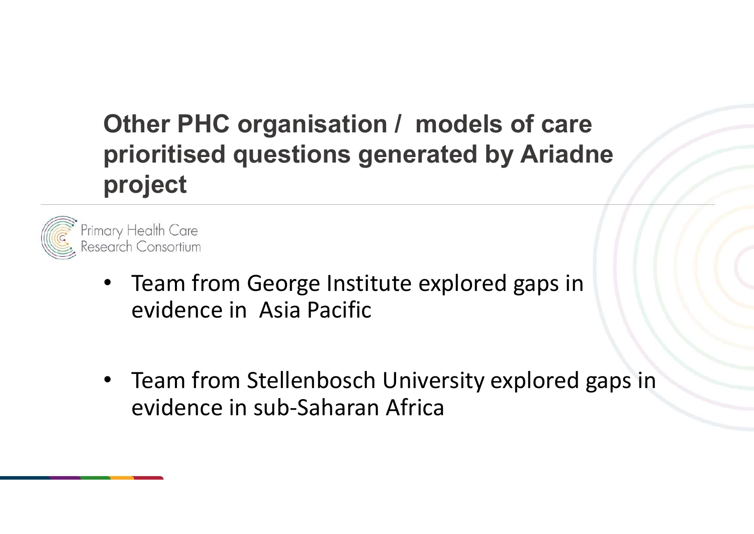### Other PHC organisation / models of care<br>prioritised questions generated by Ariadne Other PHC organisation / models of care<br>prioritised questions generated by Ariadne project

![](_page_22_Picture_1.jpeg)

- Team from George Institute explored gaps in evidence in Asia Pacific
- Team from Stellenbosch University explored gaps in evidence in sub-Saharan Africa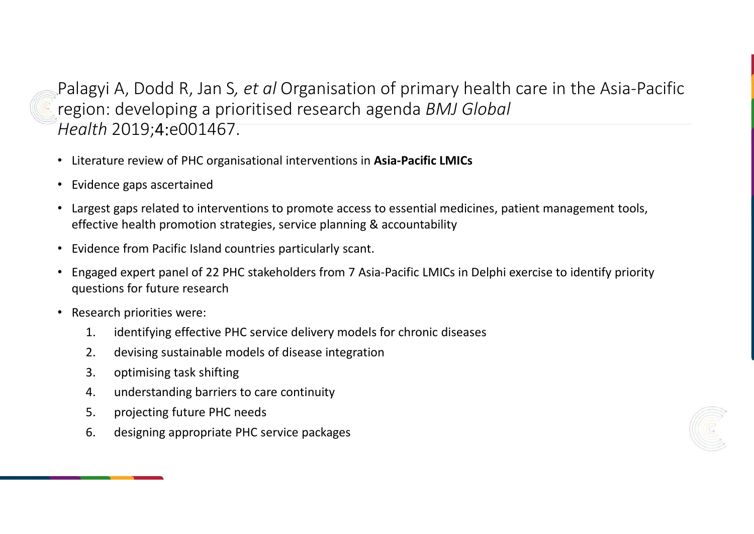Palagyi A, Dodd R, Jan S*, et al* Organisation of primary health care in the Asia-Pacific<br>region: developing a prioritised research agenda *BMJ Global*<br>Health 2019;4:e001467. region: developing a prioritised research agenda BMJ Global Health 2019;4:e001467. On: developing a prioritised research agenda *BIVIJ* GIOD01<br>
If *h* 2019; 4:e001467.<br>
Frature review of PHC organisational interventions in Asia-Pacific LMICs<br>
Idence gaps ascertained<br>
reservice pass assertained<br>
reservice

- Literature review of PHC organisational interventions in Asia-Pacific LMICs
- Evidence gaps ascertained
- Largest gaps related to interventions to promote access to essential medicines, patient management tools, effective health promotion strategies, service planning & accountability
- Evidence from Pacific Island countries particularly scant.
- Engaged expert panel of 22 PHC stakeholders from 7 Asia-Pacific LMICs in Delphi exercise to identify priority questions for future research 7(17) 2019;4:e0014407.<br>
Erature review of PHC organisational interventions in Asia-Pacific LMICs<br>
idence gaps ascertained<br>
igest gaps related to interventions to promote access to essential medicines, patier<br>
ective health erature review of PHC organisational interventions in Asia-P<br>
dence gaps ascertained<br>
rest gaps related to interventions to promote access to ess<br>
ective health promotion strategies, service planning & acco<br>
dence from Pac dence gaps ascertained<br>vest gaps related to interventions to promote access to essential medicitive health promotion strategies, service planning & accountability<br>idence from Pacific Island countries particularly scant.<br>ga Exercise gaps related to interventions to promote access to essective health promotion strategies, service planning & accordine from Pacific Island countries particularly scant.<br>
Example of 22 PHC stakeholders from 7 Asiagest gaps related to interventions to promote access to essiective health promotion strategies, service planning & accordince from Pacific Island countries particularly scant.<br>gaged expert panel of 22 PHC stakeholders from
- Research priorities were:
	-
	-
	-
	-
	-
	-

![](_page_23_Picture_13.jpeg)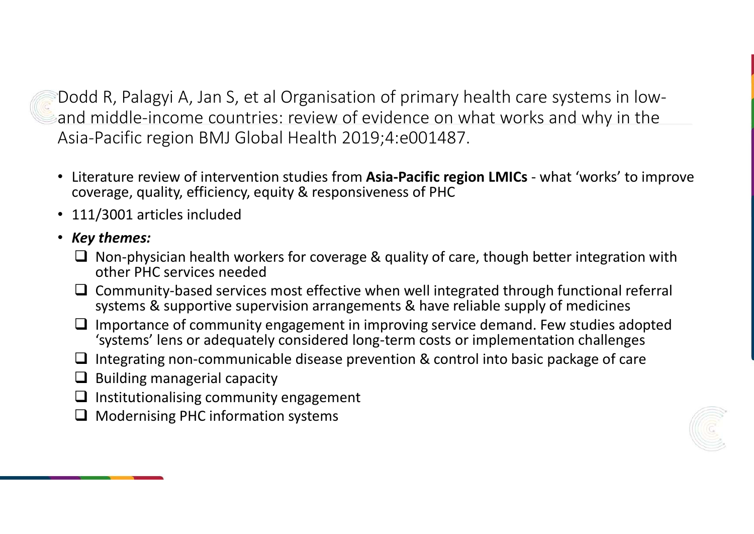Dodd R, Palagyi A, Jan S, et al Organisation of primary health care systems in lowand middle-income countries: review of evidence on what works and why in the Asia-Pacific region BMJ Global Health 2019;4:e001487. Codd R, Palagyi A, Jan S, et al Organisation of primary health care systems in low-<br>
and middle-income countries: review of evidence on what works and why in the<br>
Asia-Pacific region BMJ Global Health 2019;4:e001487.<br>
■•

- coverage, quality, efficiency, equity & responsiveness of PHC
- 111/3001 articles included

### • Key themes:

- $\Box$  Non-physician health workers for coverage & quality of care, though better integration with other PHC services needed
- $\Box$  Community-based services most effective when well integrated through functional referral systems & supportive supervision arrangements & have reliable supply of medicines
- $\Box$  Importance of community engagement in improving service demand. Few studies adopted 'systems' lens or adequately considered long-term costs or implementation challenges
- $\Box$  Integrating non-communicable disease prevention & control into basic package of care
- $\Box$  Building managerial capacity
- $\Box$  Institutionalising community engagement
- $\Box$  Modernising PHC information systems

![](_page_24_Picture_11.jpeg)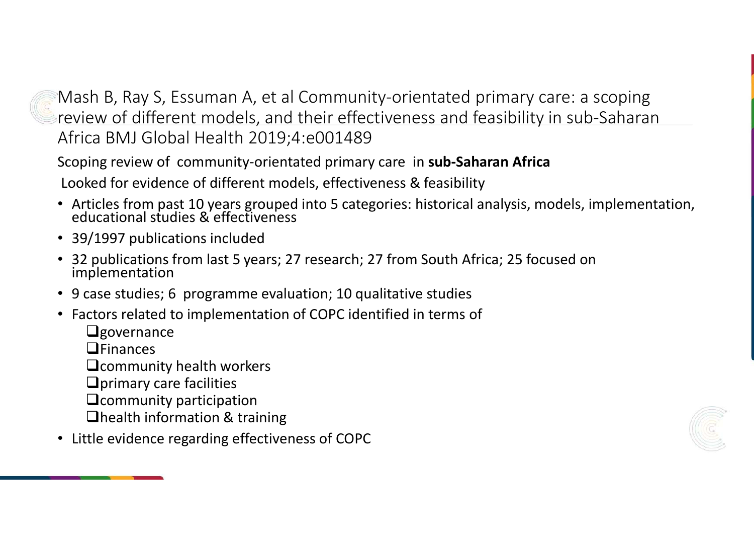Mash B, Ray S, Essuman A, et al Community-orientated primary care: a scoping<br>review of different models, and their effectiveness and feasibility in sub-Saharan<br>Africa BMJ Global Health 2019;4:e001489<br>Scoping review of comm review of different models, and their effectiveness and feasibility in sub-Saharan Africa BMJ Global Health 2019;4:e001489

Scoping review of community-orientated primary care in sub-Saharan Africa Looked for evidence of different models, effectiveness & feasibility

- Articles from past 10 years grouped into 5 categories: historical analysis, models, implementation, educational studies & effectiveness
- 39/1997 publications included
- 32 publications from last 5 years; 27 research; 27 from South Africa; 25 focused on implementation
- 9 case studies; 6 programme evaluation; 10 qualitative studies
- Factors related to implementation of COPC identified in terms of
	- $Q$ governance
	- $\Box$ Finances
	- **Q** community health workers
	- $\Box$ primary care facilities
	- **Q**community participation
	- **Thealth information & training**
- Little evidence regarding effectiveness of COPC

![](_page_25_Figure_14.jpeg)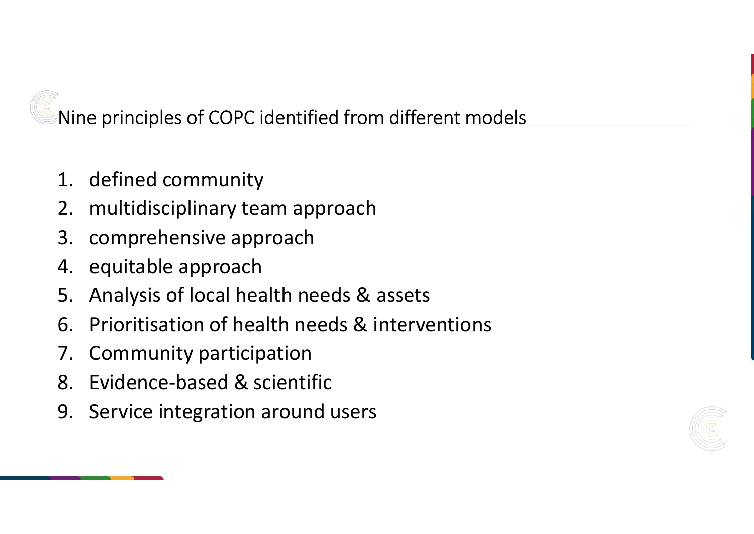Nine principles of COPC identified from different models Nine principles of COPC identified from<br>1. defined community<br>2. multidisciplinary team approach<br>3. comprehensive approach Nine principles of COPC identified from different model<br>1. defined community<br>2. multidisciplinary team approach<br>3. comprehensive approach<br>4. equitable approach Nine principles of COPC identified from different<br>1. defined community<br>2. multidisciplinary team approach<br>3. comprehensive approach<br>4. equitable approach<br>5. Analysis of local health needs & assets Nine principles of COPC identified from di<br>1. defined community<br>2. multidisciplinary team approach<br>3. comprehensive approach<br>4. equitable approach<br>5. Analysis of local health needs & ass<br>6. Prioritisation of health needs & Nine principles of COPC identified from different models<br>1. defined community<br>2. multidisciplinary team approach<br>3. comprehensive approach<br>4. equitable approach<br>5. Analysis of local health needs & assets<br>6. Prioritisation Nine principles of COPC identified from different models<br>
1. defined community<br>
2. multidisciplinary team approach<br>
3. comprehensive approach<br>
4. equitable approach<br>
5. Analysis of local health needs & assets<br>
6. Prioritis

- 
- 
- 
- 
- 
- 1. defined community<br>
2. multidisciplinary team approach<br>
3. comprehensive approach<br>
4. equitable approach<br>
5. Analysis of local health needs & assets<br>
6. Prioritisation of health needs & intervent<br>
7. Community participat 1. defined community<br>
2. multidisciplinary team approach<br>
3. comprehensive approach<br>
4. equitable approach<br>
5. Analysis of local health needs & assets<br>
6. Prioritisation of health needs & interven<br>
7. Community participati 2. multidisciplinary team approach<br>
3. comprehensive approach<br>
4. equitable approach<br>
5. Analysis of local health needs & a<br>
6. Prioritisation of health needs & in<br>
7. Community participation<br>
8. Evidence-based & scientifi
- 
- 
- 

![](_page_26_Picture_10.jpeg)